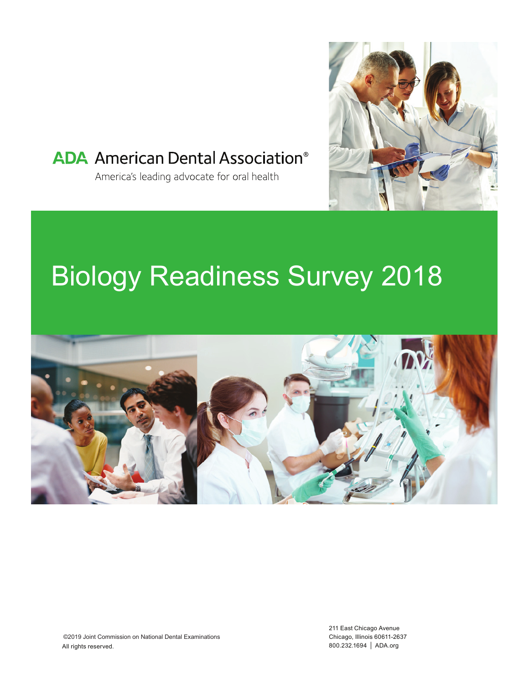

# **ADA** American Dental Association<sup>®</sup>

America's leading advocate for oral health

# Biology Readiness Survey 2018



211 East Chicago Avenue Chicago, Illinois 60611-2637 800.232.1694 | ADA.org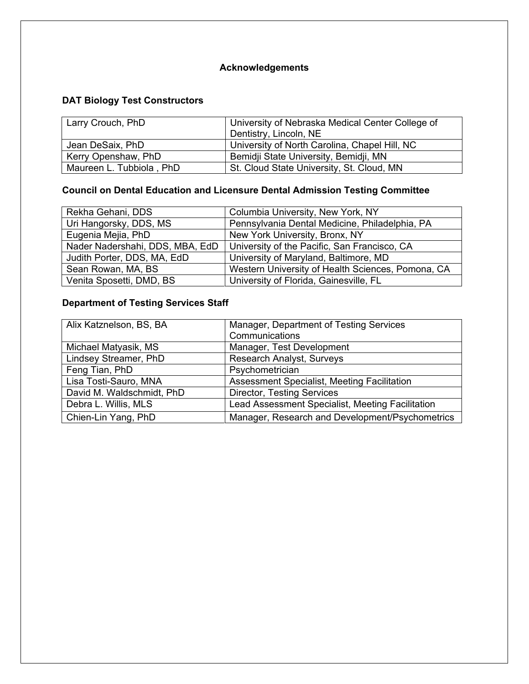## **Acknowledgements**

### **DAT Biology Test Constructors**

| Larry Crouch, PhD        | University of Nebraska Medical Center College of |  |  |  |
|--------------------------|--------------------------------------------------|--|--|--|
|                          | Dentistry, Lincoln, NE                           |  |  |  |
| Jean DeSaix, PhD         | University of North Carolina, Chapel Hill, NC    |  |  |  |
| Kerry Openshaw, PhD      | Bemidji State University, Bemidji, MN            |  |  |  |
| Maureen L. Tubbiola, PhD | St. Cloud State University, St. Cloud, MN        |  |  |  |

# **Council on Dental Education and Licensure Dental Admission Testing Committee**

| Rekha Gehani, DDS               | Columbia University, New York, NY                 |
|---------------------------------|---------------------------------------------------|
| Uri Hangorsky, DDS, MS          | Pennsylvania Dental Medicine, Philadelphia, PA    |
| Eugenia Mejia, PhD              | New York University, Bronx, NY                    |
| Nader Nadershahi, DDS, MBA, EdD | University of the Pacific, San Francisco, CA      |
| Judith Porter, DDS, MA, EdD     | University of Maryland, Baltimore, MD             |
| Sean Rowan, MA, BS              | Western University of Health Sciences, Pomona, CA |
| Venita Sposetti, DMD, BS        | University of Florida, Gainesville, FL            |

# **Department of Testing Services Staff**

| Alix Katznelson, BS, BA   | Manager, Department of Testing Services          |
|---------------------------|--------------------------------------------------|
|                           | Communications                                   |
| Michael Matyasik, MS      | Manager, Test Development                        |
| Lindsey Streamer, PhD     | Research Analyst, Surveys                        |
| Feng Tian, PhD            | Psychometrician                                  |
| Lisa Tosti-Sauro, MNA     | Assessment Specialist, Meeting Facilitation      |
| David M. Waldschmidt, PhD | <b>Director, Testing Services</b>                |
| Debra L. Willis, MLS      | Lead Assessment Specialist, Meeting Facilitation |
| Chien-Lin Yang, PhD       | Manager, Research and Development/Psychometrics  |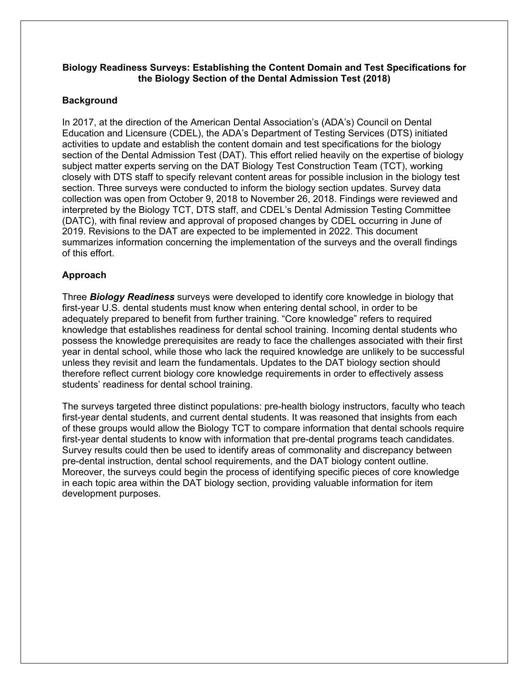#### **Biology Readiness Surveys: Establishing the Content Domain and Test Specifications for the Biology Section of the Dental Admission Test (2018)**

#### **Background**

In 2017, at the direction of the American Dental Association's (ADA's) Council on Dental Education and Licensure (CDEL), the ADA's Department of Testing Services (DTS) initiated activities to update and establish the content domain and test specifications for the biology section of the Dental Admission Test (DAT). This effort relied heavily on the expertise of biology subject matter experts serving on the DAT Biology Test Construction Team (TCT), working closely with DTS staff to specify relevant content areas for possible inclusion in the biology test section. Three surveys were conducted to inform the biology section updates. Survey data collection was open from October 9, 2018 to November 26, 2018. Findings were reviewed and interpreted by the Biology TCT, DTS staff, and CDEL's Dental Admission Testing Committee (DATC), with final review and approval of proposed changes by CDEL occurring in June of 2019. Revisions to the DAT are expected to be implemented in 2022. This document summarizes information concerning the implementation of the surveys and the overall findings of this effort.

#### **Approach**

Three *Biology Readiness* surveys were developed to identify core knowledge in biology that first-year U.S. dental students must know when entering dental school, in order to be adequately prepared to benefit from further training. "Core knowledge" refers to required knowledge that establishes readiness for dental school training. Incoming dental students who possess the knowledge prerequisites are ready to face the challenges associated with their first year in dental school, while those who lack the required knowledge are unlikely to be successful unless they revisit and learn the fundamentals. Updates to the DAT biology section should therefore reflect current biology core knowledge requirements in order to effectively assess students' readiness for dental school training.

The surveys targeted three distinct populations: pre-health biology instructors, faculty who teach first-year dental students, and current dental students. It was reasoned that insights from each of these groups would allow the Biology TCT to compare information that dental schools require first-year dental students to know with information that pre-dental programs teach candidates. Survey results could then be used to identify areas of commonality and discrepancy between pre-dental instruction, dental school requirements, and the DAT biology content outline. Moreover, the surveys could begin the process of identifying specific pieces of core knowledge in each topic area within the DAT biology section, providing valuable information for item development purposes.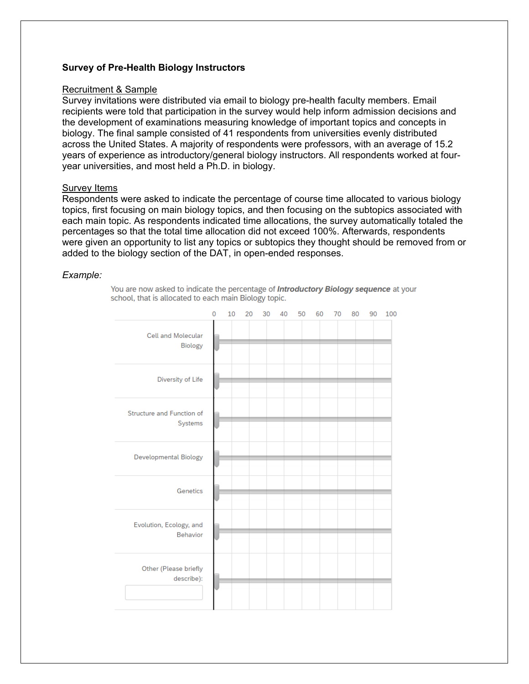#### **Survey of Pre-Health Biology Instructors**

#### Recruitment & Sample

Survey invitations were distributed via email to biology pre-health faculty members. Email recipients were told that participation in the survey would help inform admission decisions and the development of examinations measuring knowledge of important topics and concepts in biology. The final sample consisted of 41 respondents from universities evenly distributed across the United States. A majority of respondents were professors, with an average of 15.2 years of experience as introductory/general biology instructors. All respondents worked at fouryear universities, and most held a Ph.D. in biology.

#### Survey Items

Respondents were asked to indicate the percentage of course time allocated to various biology topics, first focusing on main biology topics, and then focusing on the subtopics associated with each main topic. As respondents indicated time allocations, the survey automatically totaled the percentages so that the total time allocation did not exceed 100%. Afterwards, respondents were given an opportunity to list any topics or subtopics they thought should be removed from or added to the biology section of the DAT, in open-ended responses.

#### *Example:*

You are now asked to indicate the percentage of Introductory Biology sequence at your school, that is allocated to each main Biology topic.

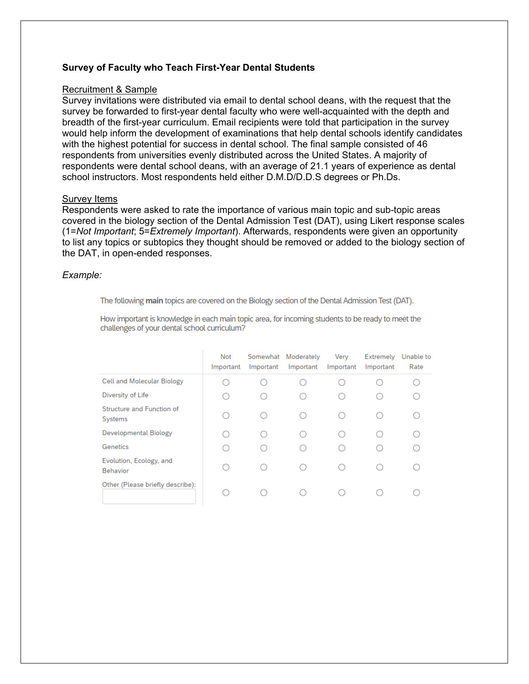#### **Survey of Faculty who Teach First-Year Dental Students**

#### Recruitment & Sample

Survey invitations were distributed via email to dental school deans, with the request that the survey be forwarded to first-year dental faculty who were well-acquainted with the depth and breadth of the first-year curriculum. Email recipients were told that participation in the survey would help inform the development of examinations that help dental schools identify candidates with the highest potential for success in dental school. The final sample consisted of 46 respondents from universities evenly distributed across the United States. A majority of respondents were dental school deans, with an average of 21.1 years of experience as dental school instructors. Most respondents held either D.M.D/D.D.S degrees or Ph.Ds.

#### Survey Items

Respondents were asked to rate the importance of various main topic and sub-topic areas covered in the biology section of the Dental Admission Test (DAT), using Likert response scales (1=*Not Important*; 5=*Extremely Important*). Afterwards, respondents were given an opportunity to list any topics or subtopics they thought should be removed or added to the biology section of the DAT, in open-ended responses.

#### *Example:*

The following main topics are covered on the Biology section of the Dental Admission Test (DAT).

How important is knowledge in each main topic area, for incoming students to be ready to meet the challenges of your dental school curriculum?

|                                            | Not<br>Important | Somewhat<br>Important | Moderately<br>Important | Verv<br>Important | Extremely<br>Important | Unable to<br>Rate |
|--------------------------------------------|------------------|-----------------------|-------------------------|-------------------|------------------------|-------------------|
| Cell and Molecular Biology                 |                  |                       |                         |                   |                        |                   |
| Diversity of Life                          |                  |                       |                         |                   |                        |                   |
| Structure and Function of<br>Systems       |                  |                       |                         |                   |                        |                   |
| Developmental Biology                      |                  | ∩                     |                         |                   |                        |                   |
| Genetics                                   |                  |                       |                         |                   |                        |                   |
| Evolution, Ecology, and<br><b>Behavior</b> | ( )              | ∩                     |                         |                   |                        |                   |
| Other (Please briefly describe):           |                  |                       |                         |                   |                        |                   |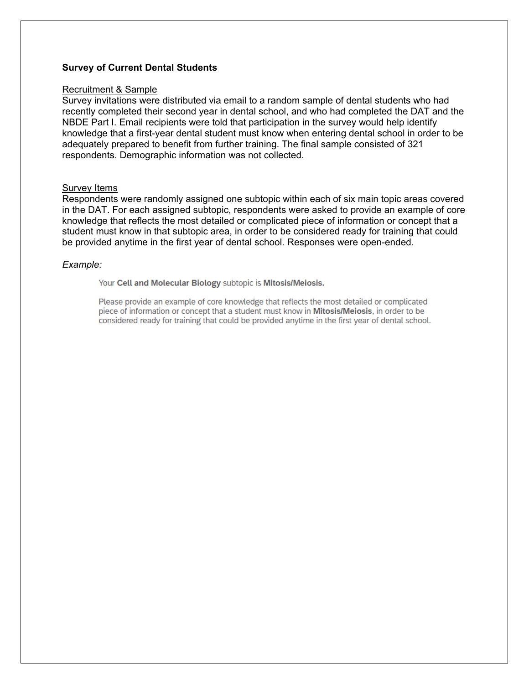#### **Survey of Current Dental Students**

#### Recruitment & Sample

Survey invitations were distributed via email to a random sample of dental students who had recently completed their second year in dental school, and who had completed the DAT and the NBDE Part I. Email recipients were told that participation in the survey would help identify knowledge that a first-year dental student must know when entering dental school in order to be adequately prepared to benefit from further training. The final sample consisted of 321 respondents. Demographic information was not collected.

#### Survey Items

Respondents were randomly assigned one subtopic within each of six main topic areas covered in the DAT. For each assigned subtopic, respondents were asked to provide an example of core knowledge that reflects the most detailed or complicated piece of information or concept that a student must know in that subtopic area, in order to be considered ready for training that could be provided anytime in the first year of dental school. Responses were open-ended.

#### *Example:*

Your Cell and Molecular Biology subtopic is Mitosis/Meiosis.

Please provide an example of core knowledge that reflects the most detailed or complicated piece of information or concept that a student must know in Mitosis/Meiosis, in order to be considered ready for training that could be provided anytime in the first year of dental school.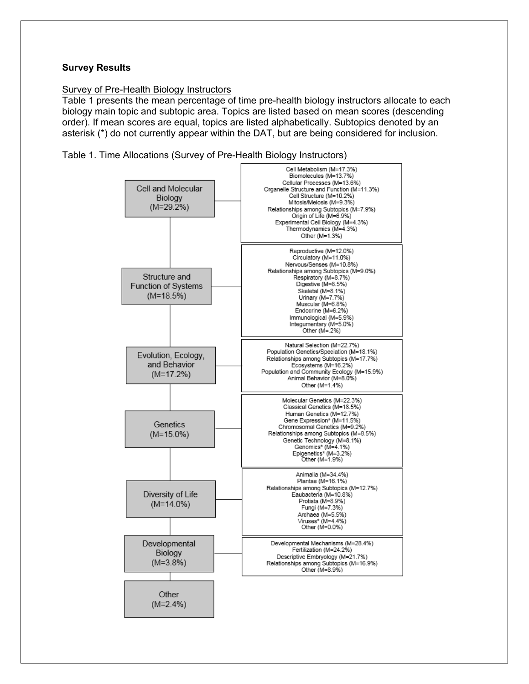#### **Survey Results**

#### Survey of Pre-Health Biology Instructors

Table 1 presents the mean percentage of time pre-health biology instructors allocate to each biology main topic and subtopic area. Topics are listed based on mean scores (descending order). If mean scores are equal, topics are listed alphabetically. Subtopics denoted by an asterisk (\*) do not currently appear within the DAT, but are being considered for inclusion.

Table 1. Time Allocations (Survey of Pre-Health Biology Instructors)

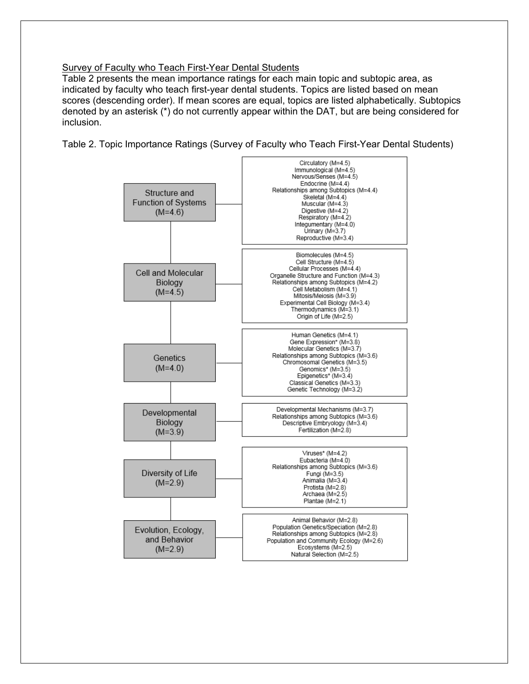#### Survey of Faculty who Teach First-Year Dental Students

Table 2 presents the mean importance ratings for each main topic and subtopic area, as indicated by faculty who teach first-year dental students. Topics are listed based on mean scores (descending order). If mean scores are equal, topics are listed alphabetically. Subtopics denoted by an asterisk (\*) do not currently appear within the DAT, but are being considered for inclusion.

Table 2. Topic Importance Ratings (Survey of Faculty who Teach First-Year Dental Students)